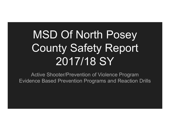# MSD Of North Posey County Safety Report 2017/18 SY

Active Shooter/Prevention of Violence Program Evidence Based Prevention Programs and Reaction Drills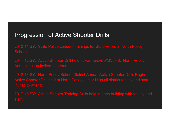## Progression of Active Shooter Drills

2010-11 SY: State Police conduct trainings for State Police in North Posey Schools.

2011-12 SY: Active Shooter Drill held at Farmersville/MVJHS. North Posey Administration invited to attend.

2012-13 SY: North Posey School District Annual Active Shooter Drills Begin. Active Shooter Drill held at North Posey Junior High all district faculty and staff invited to attend.

2017-18 SY: Active Shooter Training/Drills held in each building with faculty and staff.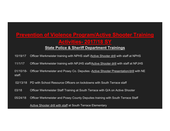# **Prevention of Violence Program/Active Shooter Training Activities- 2017/18 SY**

#### **State Police & Sheriff Department Trainings**

10/19/17 Officer Werkmeister training with NPHS staff /Active Shooter drill with staff at NPHS 11/1/17 Officer Werkmeister training with NPJHS staff/Active Shooter drill with staff at NPJHS

01/10/18- Officer Werkmeister and Posey Co. Deputies -Active Shooter Presentation/drill with NE staff.

02/13/18 PD with School Resource Officers on lockdowns with South Terrace staff

03/18 Officer Werkmeister Staff Training at South Terrace with Q/A on Active Shooter

05/24/18 Officer Werkmeister and Posey County Deputies training with South Terrace Staff

Active Shooter drill with staff at South Terrace Elementary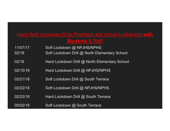## Hard /Soft Lockdown Drills Practiced and Actual Lockdowns **with Students** & Staff

- 11/07/17 Soft Lockdown @ NPJHS/NPHS
- 02/18 **Soft Lockdown Drill @ North Elementary School**
- 02/18 **Hard Lockdown Drill @ North Elementary School**
- 02/15/18 Hard Lockdown Drill @ NPJHS/NPHS
- 02/21/18 Soft Lockdown Drill @ South Terrace
- 02/22/18 Soft Lockdown Drill @ NPJHS/NPHS
- 02/23/18 Hard Lockdown Drill @ South Terrace
- 05/02/18 Soft Lockdown @ South Terrace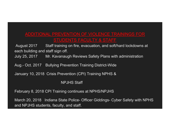### ADDITIONAL PREVENTION OF VIOLENCE TRAININGS FOR STUDENTS FACULTY & STAFF

August 2017 Staff training on fire, evacuation, and soft/hard lockdowns at each building and staff sign off.

July 25, 2017 Mr. Kavanaugh Reviews Safety Plans with administration

Aug.- Oct. 2017 Bullying Prevention Training District-Wide

January 10, 2018 Crisis Prevention (CPI) Training NPHS &

NPJHS Staff

February 8, 2018 CPI Training continues at NPHS/NPJHS

March 20, 2018 Indiana State Police- Officer Giddings- Cyber Safety with NPHS and NPJHS students, faculty, and staff.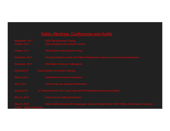#### **Safety Meetings, Conferences and Audits**

September, 2017 ISSA Fall Advanced Training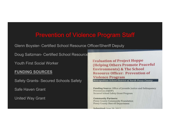## Prevention of Violence Program Staff

Glenn Boyster- Certified School Resource Officer/Sheriff Deputy

Doug Saltzman- Certified School Resource

Youth First Social Worker

#### **FUNDING SOURCES**

Safety Grants- Secured Schools Safety

Safe Haven Grant

United Way Grant

**Evaluation of Project Hoppe (Helping Others Promote Peaceful Environments) & The School Resource Officer: Prevention of Violence Program Metropolitan School District of North Posey County** 

Funding Source: Office of Juvenile Justice and Delinquency Prevention (OJJDP) **Secured School Safety Grant Program** 

**Community Partners: Posey County Community Foundation Posey County Sherriff Department** 

Submitted: June 20, 2017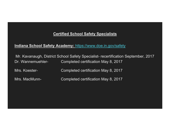#### **Certified School Safety Specialists**

#### **Indiana School Safety Academy:** https://www.doe.in.gov/safety

Mr. Kavanaugh, District School Safety Specialist- recertification September, 2017 Dr. Wannemuehler- Completed certification May 8, 2017

Mrs. Koester- Completed certification May 8, 2017

Mrs. MacMunn- Completed certification May 8, 2017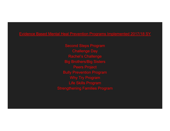#### Evidence Based Mental Heal Prevention Programs Implemented 2017/18 SY

Second Steps Program Challenge Day Rachel's Challenge Big Brothers/Big Sisters Peers Project Bully Prevention Program Why Try Program Life Skills Program Strengthening Families Program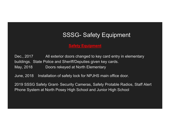## SSSG- Safety Equipment

#### **Safety Equipment**

Dec., 2017 All exterior doors changed to key card entry in elementary buildings. State Police and Sheriff/Deputies given key cards. May, 2018 Doors rekeyed at North Elementary

June, 2018 Installation of safety lock for NPJHS main office door.

2019 SSSG Safety Grant- Security Cameras, Safety Protable Radios, Staff Alert Phone System at North Posey High School and Junior High School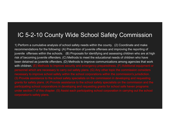## IC 5-2-10 County Wide School Safety Commission

1) Perform a cumulative analysis of school safety needs within the county. (2) Coordinate and make recommendations for the following: (A) Prevention of juvenile offenses and improving the reporting of juvenile offenses within the schools. (B) Proposals for identifying and assessing children who are at high risk of becoming juvenile offenders. (C) Methods to meet the educational needs of children who have been detained as juvenile offenders. (D) Methods to improve communications among agencies that work with children. (E) Methods to improve security and emergency preparedness. (F) Additional equipment or grants for safety plans. (4) Provide assistance to the school safety specialists on the commission and the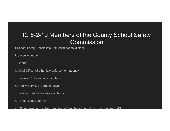# IC 5-2-10 Members of the County School Safety **Commission**

1.School Safety Specialists from each school district

- 2. Juvenile Judge
- 3. Sheriff
- 4. Chief Officer of other law enforcement agency
- 5. Juvenile Probation representative
- 6. Family Services representative
- 7. Indiana State Police representative
- 8. Prosecuting Attorney
- 9 Others selected by the Commission/Fire Departments/First Responders/EMS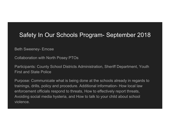## Safety In Our Schools Program- September 2018

Beth Sweeney- Emcee

Collaboration with North Posey PTOs

Participants: County School Districts Administration, Sheriff Department, Youth First and State Police

Purpose: Communicate what is being done at the schools already in regards to trainings, drills, policy and procedure. Additional information- How local law enforcement officials respond to threats, How to effectively report threats, Avoiding social media hysteria, and How to talk to your child about school violence.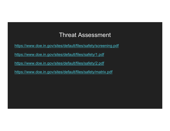## Threat Assessment

https://www.doe.in.gov/sites/default/files/safety/screening.pdf

https://www.doe.in.gov/sites/default/files/safety/1.pdf

https://www.doe.in.gov/sites/default/files/safety/2.pdf

https://www.doe.in.gov/sites/default/files/safety/matrix.pdf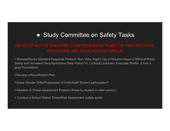# ● Study Committee on Safety Tasks

## DEVELOP ACTIVE SHOOTER COMPREHENSIVE PLAN FOR PREVENTATIVE PROGRAMS AND REACTIONARY DRILLS

> Review/Revise Standard Response Protocol: Run, Hide, Fight ( City of Houston Mayor's Office of Public Safety and Homeland Security/Indiana State Police) Vs. Lockout,Lockdown, Evacuate,Shelter (i love u guys Foundation)

>Develop a Reunification Plan

>Active Shooter Drills/Progression of Drills/Staff/ Student participation?

>Adoption of Threat Assessment Protocol (threat by student or other person)

> Conduct a School District Threat/Risk Assessment (safety audit)